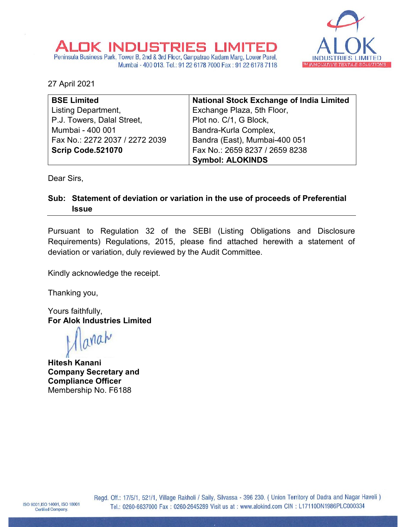

## Peninsula Business Park, Tower B, 2nd & 3rd Floor, Ganpatrao Kadam Marg, Lower Parel, Mumbai - 400 013. Tel.: 91 22 6178 7000 Fax: 91 22 6178 7118

JK INDUSTRIES LIMITE

27 April 2021

| <b>BSE Limited</b>             | <b>National Stock Exchange of India Limited</b> |
|--------------------------------|-------------------------------------------------|
| Listing Department,            | Exchange Plaza, 5th Floor,                      |
| P.J. Towers, Dalal Street,     | Plot no. C/1, G Block,                          |
| Mumbai - 400 001               | Bandra-Kurla Complex,                           |
| Fax No.: 2272 2037 / 2272 2039 | Bandra (East), Mumbai-400 051                   |
| Scrip Code.521070              | Fax No.: 2659 8237 / 2659 8238                  |
|                                | <b>Symbol: ALOKINDS</b>                         |

Dear Sirs,

## **Sub: Statement of deviation or variation in the use of proceeds of Preferential Issue**

Pursuant to Regulation 32 of the SEBI (Listing Obligations and Disclosure Requirements) Regulations, 2015, please find attached herewith a statement of deviation or variation, duly reviewed by the Audit Committee.

Kindly acknowledge the receipt.

Thanking you,

Yours faithfully, **For Alok Industries Limited** 

arrah

**Hitesh Kanani Company Secretary and Compliance Officer** Membership No. F6188